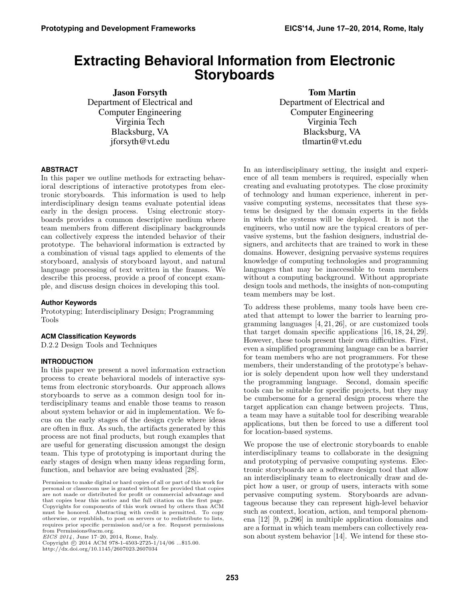# **Extracting Behavioral Information from Electronic Storyboards**

Jason Forsyth Department of Electrical and Computer Engineering Virginia Tech Blacksburg, VA jforsyth@vt.edu

Tom Martin Department of Electrical and Computer Engineering Virginia Tech Blacksburg, VA tlmartin@vt.edu

#### **ABSTRACT**

In this paper we outline methods for extracting behavioral descriptions of interactive prototypes from electronic storyboards. This information is used to help interdisciplinary design teams evaluate potential ideas early in the design process. Using electronic storyboards provides a common descriptive medium where team members from different disciplinary backgrounds can collectively express the intended behavior of their prototype. The behavioral information is extracted by a combination of visual tags applied to elements of the storyboard, analysis of storyboard layout, and natural language processing of text written in the frames. We describe this process, provide a proof of concept example, and discuss design choices in developing this tool.

## **Author Keywords**

Prototyping; Interdisciplinary Design; Programming Tools

## **ACM Classification Keywords**

D.2.2 Design Tools and Techniques

## **INTRODUCTION**

In this paper we present a novel information extraction process to create behavioral models of interactive systems from electronic storyboards. Our approach allows storyboards to serve as a common design tool for interdisciplinary teams and enable those teams to reason about system behavior or aid in implementation. We focus on the early stages of the design cycle where ideas are often in flux. As such, the artifacts generated by this process are not final products, but rough examples that are useful for generating discussion amongst the design team. This type of prototyping is important during the early stages of design when many ideas regarding form, function, and behavior are being evaluated [\[28\]](#page-9-0).

In an interdisciplinary setting, the insight and experience of all team members is required, especially when creating and evaluating prototypes. The close proximity of technology and human experience, inherent in pervasive computing systems, necessitates that these systems be designed by the domain experts in the fields in which the systems will be deployed. It is not the engineers, who until now are the typical creators of pervasive systems, but the fashion designers, industrial designers, and architects that are trained to work in these domains. However, designing pervasive systems requires knowledge of computing technologies and programming languages that may be inaccessible to team members without a computing background. Without appropriate design tools and methods, the insights of non-computing team members may be lost.

To address these problems, many tools have been created that attempt to lower the barrier to learning programming languages [\[4,](#page-8-0) [21,](#page-9-1) [26\]](#page-9-2), or are customized tools that target domain specific applications [\[16,](#page-9-3) [18,](#page-9-4) [24,](#page-9-5) [29\]](#page-9-6). However, these tools present their own difficulties. First, even a simplified programming language can be a barrier for team members who are not programmers. For these members, their understanding of the prototype's behavior is solely dependent upon how well they understand the programming language. Second, domain specific tools can be suitable for specific projects, but they may be cumbersome for a general design process where the target application can change between projects. Thus, a team may have a suitable tool for describing wearable applications, but then be forced to use a different tool for location-based systems.

We propose the use of electronic storyboards to enable interdisciplinary teams to collaborate in the designing and prototyping of pervasive computing systems. Electronic storyboards are a software design tool that allow an interdisciplinary team to electronically draw and depict how a user, or group of users, interacts with some pervasive computing system. Storyboards are advantageous because they can represent high-level behavior such as context, location, action, and temporal phenomena [\[12\]](#page-9-7) [\[9,](#page-9-8) p.296] in multiple application domains and are a format in which team members can collectively reason about system behavior [\[14\]](#page-9-9). We intend for these sto-

Permission to make digital or hard copies of all or part of this work for personal or classroom use is granted without fee provided that copies are not made or distributed for profit or commercial advantage and that copies bear this notice and the full citation on the first page. Copyrights for components of this work owned by others than ACM must be honored. Abstracting with credit is permitted. To copy otherwise, or republish, to post on servers or to redistribute to lists, requires prior specific permission and/or a fee. Request permissions from Permissions@acm.org.

EICS 2014, June 17–20, 2014, Rome, Italy.

Copyright © 2014 ACM 978-1-4503-2725-1/14/06 ... \$15.00.

http://dx.doi.org/10.1145/2607023.2607034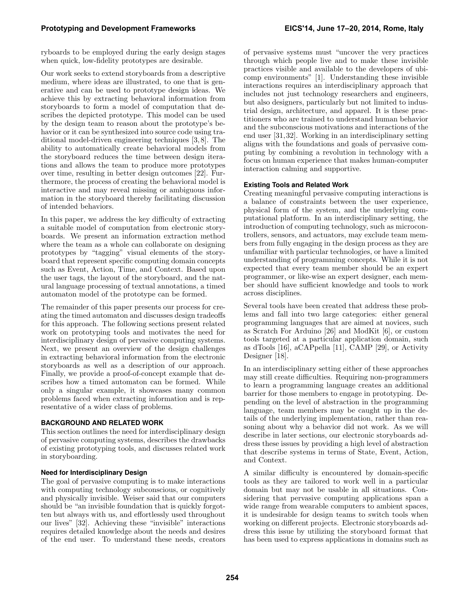#### **Prototyping and Development Frameworks EICS'14, June 17–20, 2014, Rome, Italy**

ryboards to be employed during the early design stages when quick, low-fidelity prototypes are desirable.

Our work seeks to extend storyboards from a descriptive medium, where ideas are illustrated, to one that is generative and can be used to prototype design ideas. We achieve this by extracting behavioral information from storyboards to form a model of computation that describes the depicted prototype. This model can be used by the design team to reason about the prototype's behavior or it can be synthesized into source code using traditional model-driven engineering techniques [\[3,](#page-8-1) [8\]](#page-8-2). The ability to automatically create behavioral models from the storyboard reduces the time between design iterations and allows the team to produce more prototypes over time, resulting in better design outcomes [\[22\]](#page-9-10). Furthermore, the process of creating the behavioral model is interactive and may reveal missing or ambiguous information in the storyboard thereby facilitating discussion of intended behaviors.

In this paper, we address the key difficulty of extracting a suitable model of computation from electronic storyboards. We present an information extraction method where the team as a whole can collaborate on designing prototypes by "tagging" visual elements of the storyboard that represent specific computing domain concepts such as Event, Action, Time, and Context. Based upon the user tags, the layout of the storyboard, and the natural language processing of textual annotations, a timed automaton model of the prototype can be formed.

The remainder of this paper presents our process for creating the timed automaton and discusses design tradeoffs for this approach. The following sections present related work on prototyping tools and motivates the need for interdisciplinary design of pervasive computing systems. Next, we present an overview of the design challenges in extracting behavioral information from the electronic storyboards as well as a description of our approach. Finally, we provide a proof-of-concept example that describes how a timed automaton can be formed. While only a singular example, it showcases many common problems faced when extracting information and is representative of a wider class of problems.

# **BACKGROUND AND RELATED WORK**

This section outlines the need for interdisciplinary design of pervasive computing systems, describes the drawbacks of existing prototyping tools, and discusses related work in storyboarding.

# **Need for Interdisciplinary Design**

The goal of pervasive computing is to make interactions with computing technology subconscious, or cognitively and physically invisible. Weiser said that our computers should be "an invisible foundation that is quickly forgotten but always with us, and effortlessly used throughout our lives" [\[32\]](#page-9-11). Achieving these "invisible" interactions requires detailed knowledge about the needs and desires of the end user. To understand these needs, creators of pervasive systems must "uncover the very practices through which people live and to make these invisible practices visible and available to the developers of ubicomp environments" [\[1\]](#page-8-3). Understanding these invisible interactions requires an interdisciplinary approach that includes not just technology researchers and engineers, but also designers, particularly but not limited to industrial design, architecture, and apparel. It is these practitioners who are trained to understand human behavior and the subconscious motivations and interactions of the end user [\[31,](#page-9-12) [32\]](#page-9-11). Working in an interdisciplinary setting aligns with the foundations and goals of pervasive computing by combining a revolution in technology with a focus on human experience that makes human-computer interaction calming and supportive.

## **Existing Tools and Related Work**

Creating meaningful pervasive computing interactions is a balance of constraints between the user experience, physical form of the system, and the underlying computational platform. In an interdisciplinary setting, the introduction of computing technology, such as microcontrollers, sensors, and actuators, may exclude team members from fully engaging in the design process as they are unfamiliar with particular technologies, or have a limited understanding of programming concepts. While it is not expected that every team member should be an expert programmer, or like-wise an expert designer, each member should have sufficient knowledge and tools to work across disciplines.

Several tools have been created that address these problems and fall into two large categories: either general programming languages that are aimed at novices, such as Scratch For Arduino [\[26\]](#page-9-2) and ModKit [\[6\]](#page-8-4), or custom tools targeted at a particular application domain, such as dTools [\[16\]](#page-9-3), aCAPpella [\[11\]](#page-9-13), CAMP [\[29\]](#page-9-6), or Activity Designer [\[18\]](#page-9-4).

In an interdisciplinary setting either of these approaches may still create difficulties. Requiring non-programmers to learn a programming language creates an additional barrier for those members to engage in prototyping. Depending on the level of abstraction in the programming language, team members may be caught up in the details of the underlying implementation, rather than reasoning about why a behavior did not work. As we will describe in later sections, our electronic storyboards address these issues by providing a high level of abstraction that describe systems in terms of State, Event, Action, and Context.

A similar difficulty is encountered by domain-specific tools as they are tailored to work well in a particular domain but may not be usable in all situations. Considering that pervasive computing applications span a wide range from wearable computers to ambient spaces, it is undesirable for design teams to switch tools when working on different projects. Electronic storyboards address this issue by utilizing the storyboard format that has been used to express applications in domains such as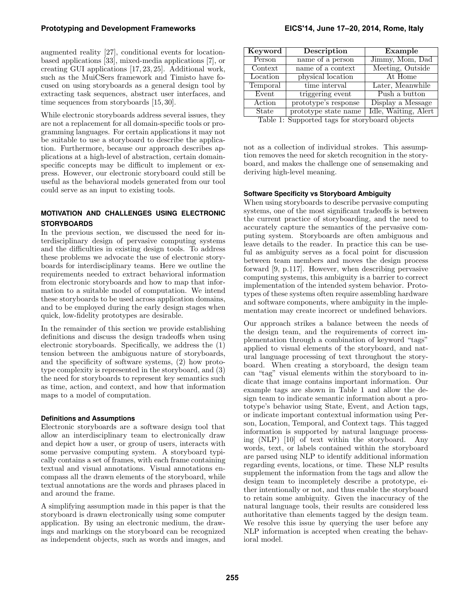augmented reality [\[27\]](#page-9-14), conditional events for locationbased applications [\[33\]](#page-9-15), mixed-media applications [\[7\]](#page-8-5), or creating GUI applications [\[17,](#page-9-16) [23,](#page-9-17) [25\]](#page-9-18). Additional work, such as the MuiCSers framework and Timisto have focused on using storyboards as a general design tool by extracting task sequences, abstract user interfaces, and time sequences from storyboards [\[15,](#page-9-19) [30\]](#page-9-20).

While electronic storyboards address several issues, they are not a replacement for all domain-specific tools or programming languages. For certain applications it may not be suitable to use a storyboard to describe the application. Furthermore, because our approach describes applications at a high-level of abstraction, certain domainspecific concepts may be difficult to implement or express. However, our electronic storyboard could still be useful as the behavioral models generated from our tool could serve as an input to existing tools.

## **MOTIVATION AND CHALLENGES USING ELECTRONIC STORYBOARDS**

In the previous section, we discussed the need for interdisciplinary design of pervasive computing systems and the difficulties in existing design tools. To address these problems we advocate the use of electronic storyboards for interdisciplinary teams. Here we outline the requirements needed to extract behavioral information from electronic storyboards and how to map that information to a suitable model of computation. We intend these storyboards to be used across application domains, and to be employed during the early design stages when quick, low-fidelity prototypes are desirable.

In the remainder of this section we provide establishing definitions and discuss the design tradeoffs when using electronic storyboards. Specifically, we address the (1) tension between the ambiguous nature of storyboards, and the specificity of software systems, (2) how prototype complexity is represented in the storyboard, and (3) the need for storyboards to represent key semantics such as time, action, and context, and how that information maps to a model of computation.

#### **Definitions and Assumptions**

Electronic storyboards are a software design tool that allow an interdisciplinary team to electronically draw and depict how a user, or group of users, interacts with some pervasive computing system. A storyboard typically contains a set of frames, with each frame containing textual and visual annotations. Visual annotations encompass all the drawn elements of the storyboard, while textual annotations are the words and phrases placed in and around the frame.

A simplifying assumption made in this paper is that the storyboard is drawn electronically using some computer application. By using an electronic medium, the drawings and markings on the storyboard can be recognized as independent objects, such as words and images, and

<span id="page-2-0"></span>

| Keyword  | <b>Description</b>                   | Example              |
|----------|--------------------------------------|----------------------|
| Person   | $\overline{\text{name of}}$ a person | Jimmy, Mom, Dad      |
| Context  | name of a context                    | Meeting, Outside     |
| Location | physical location                    | At Home              |
| Temporal | time interval                        | Later, Meanwhile     |
| Event    | triggering event                     | Push a button        |
| Action   | prototype's response                 | Display a Message    |
| State    | prototype state name                 | Idle, Waiting, Alert |

Table 1: Supported tags for storyboard objects

not as a collection of individual strokes. This assumption removes the need for sketch recognition in the storyboard, and makes the challenge one of sensemaking and deriving high-level meaning.

#### **Software Specificity vs Storyboard Ambiguity**

When using storyboards to describe pervasive computing systems, one of the most significant tradeoffs is between the current practice of storyboarding, and the need to accurately capture the semantics of the pervasive computing system. Storyboards are often ambiguous and leave details to the reader. In practice this can be useful as ambiguity serves as a focal point for discussion between team members and moves the design process forward [\[9,](#page-9-8) p.117]. However, when describing pervasive computing systems, this ambiguity is a barrier to correct implementation of the intended system behavior. Prototypes of these systems often require assembling hardware and software components, where ambiguity in the implementation may create incorrect or undefined behaviors.

Our approach strikes a balance between the needs of the design team, and the requirements of correct implementation through a combination of keyword "tags" applied to visual elements of the storyboard, and natural language processing of text throughout the storyboard. When creating a storyboard, the design team can "tag" visual elements within the storyboard to indicate that image contains important information. Our example tags are shown in Table [1](#page-2-0) and allow the design team to indicate semantic information about a prototype's behavior using State, Event, and Action tags, or indicate important contextual information using Person, Location, Temporal, and Context tags. This tagged information is supported by natural language processing (NLP) [\[10\]](#page-9-21) of text within the storyboard. Any words, text, or labels contained within the storyboard are parsed using NLP to identify additional information regarding events, locations, or time. These NLP results supplement the information from the tags and allow the design team to incompletely describe a prototype, either intentionally or not, and thus enable the storyboard to retain some ambiguity. Given the inaccuracy of the natural language tools, their results are considered less authoritative than elements tagged by the design team. We resolve this issue by querying the user before any NLP information is accepted when creating the behavioral model.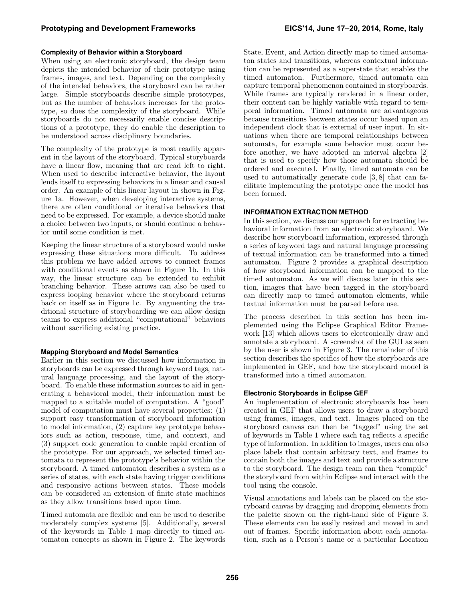## **Complexity of Behavior within a Storyboard**

When using an electronic storyboard, the design team depicts the intended behavior of their prototype using frames, images, and text. Depending on the complexity of the intended behaviors, the storyboard can be rather large. Simple storyboards describe simple prototypes, but as the number of behaviors increases for the prototype, so does the complexity of the storyboard. While storyboards do not necessarily enable concise descriptions of a prototype, they do enable the description to be understood across disciplinary boundaries.

The complexity of the prototype is most readily apparent in the layout of the storyboard. Typical storyboards have a linear flow, meaning that are read left to right. When used to describe interactive behavior, the layout lends itself to expressing behaviors in a linear and causal order. An example of this linear layout in shown in Figure [1a.](#page-4-0) However, when developing interactive systems, there are often conditional or iterative behaviors that need to be expressed. For example, a device should make a choice between two inputs, or should continue a behavior until some condition is met.

Keeping the linear structure of a storyboard would make expressing these situations more difficult. To address this problem we have added arrows to connect frames with conditional events as shown in Figure [1b.](#page-4-0) In this way, the linear structure can be extended to exhibit branching behavior. These arrows can also be used to express looping behavior where the storyboard returns back on itself as in Figure [1c.](#page-4-0) By augmenting the traditional structure of storyboarding we can allow design teams to express additional "computational" behaviors without sacrificing existing practice.

#### **Mapping Storyboard and Model Semantics**

Earlier in this section we discussed how information in storyboards can be expressed through keyword tags, natural language processing, and the layout of the storyboard. To enable these information sources to aid in generating a behavioral model, their information must be mapped to a suitable model of computation. A "good" model of computation must have several properties: (1) support easy transformation of storyboard information to model information, (2) capture key prototype behaviors such as action, response, time, and context, and (3) support code generation to enable rapid creation of the prototype. For our approach, we selected timed automata to represent the prototype's behavior within the storyboard. A timed automaton describes a system as a series of states, with each state having trigger conditions and responsive actions between states. These models can be considered an extension of finite state machines as they allow transitions based upon time.

Timed automata are flexible and can be used to describe moderately complex systems [\[5\]](#page-8-6). Additionally, several of the keywords in Table [1](#page-2-0) map directly to timed automaton concepts as shown in Figure [2.](#page-4-1) The keywords State, Event, and Action directly map to timed automaton states and transitions, whereas contextual information can be represented as a superstate that enables the timed automaton. Furthermore, timed automata can capture temporal phenomenon contained in storyboards. While frames are typically rendered in a linear order, their content can be highly variable with regard to temporal information. Timed automata are advantageous because transitions between states occur based upon an independent clock that is external of user input. In situations when there are temporal relationships between automata, for example some behavior must occur before another, we have adopted an interval algebra [\[2\]](#page-8-7) that is used to specify how those automata should be ordered and executed. Finally, timed automata can be used to automatically generate code [\[3,](#page-8-1) [8\]](#page-8-2) that can facilitate implementing the prototype once the model has been formed.

## **INFORMATION EXTRACTION METHOD**

In this section, we discuss our approach for extracting behavioral information from an electronic storyboard. We describe how storyboard information, expressed through a series of keyword tags and natural language processing of textual information can be transformed into a timed automaton. Figure [2](#page-4-1) provides a graphical description of how storyboard information can be mapped to the timed automaton. As we will discuss later in this section, images that have been tagged in the storyboard can directly map to timed automaton elements, while textual information must be parsed before use.

The process described in this section has been implemented using the Eclipse Graphical Editor Framework [\[13\]](#page-9-22) which allows users to electronically draw and annotate a storyboard. A screenshot of the GUI as seen by the user is shown in Figure [3.](#page-6-0) The remainder of this section describes the specifics of how the storyboards are implemented in GEF, and how the storyboard model is transformed into a timed automaton.

## **Electronic Storyboards in Eclipse GEF**

An implementation of electronic storyboards has been created in GEF that allows users to draw a storyboard using frames, images, and text. Images placed on the storyboard canvas can then be "tagged" using the set of keywords in Table [1](#page-2-0) where each tag reflects a specific type of information. In addition to images, users can also place labels that contain arbitrary text, and frames to contain both the images and text and provide a structure to the storyboard. The design team can then "compile" the storyboard from within Eclipse and interact with the tool using the console.

Visual annotations and labels can be placed on the storyboard canvas by dragging and dropping elements from the palette shown on the right-hand side of Figure [3.](#page-6-0) These elements can be easily resized and moved in and out of frames. Specific information about each annotation, such as a Person's name or a particular Location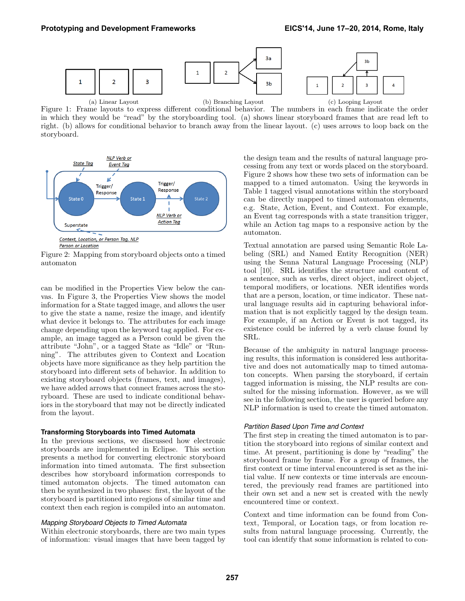<span id="page-4-0"></span>

Figure 1: Frame layouts to express different conditional behavior. The numbers in each frame indicate the order in which they would be "read" by the storyboarding tool. (a) shows linear storyboard frames that are read left to right. (b) allows for conditional behavior to branch away from the linear layout. (c) uses arrows to loop back on the storyboard.

<span id="page-4-1"></span>

Figure 2: Mapping from storyboard objects onto a timed automaton

can be modified in the Properties View below the canvas. In Figure [3,](#page-6-0) the Properties View shows the model information for a State tagged image, and allows the user to give the state a name, resize the image, and identify what device it belongs to. The attributes for each image change depending upon the keyword tag applied. For example, an image tagged as a Person could be given the attribute "John", or a tagged State as "Idle" or "Running". The attributes given to Context and Location objects have more significance as they help partition the storyboard into different sets of behavior. In addition to existing storyboard objects (frames, text, and images), we have added arrows that connect frames across the storyboard. These are used to indicate conditional behaviors in the storyboard that may not be directly indicated from the layout.

#### **Transforming Storyboards into Timed Automata**

In the previous sections, we discussed how electronic storyboards are implemented in Eclipse. This section presents a method for converting electronic storyboard information into timed automata. The first subsection describes how storyboard information corresponds to timed automaton objects. The timed automaton can then be synthesized in two phases: first, the layout of the storyboard is partitioned into regions of similar time and context then each region is compiled into an automaton.

#### *Mapping Storyboard Objects to Timed Automata*

Within electronic storyboards, there are two main types of information: visual images that have been tagged by

the design team and the results of natural language processing from any text or words placed on the storyboard. Figure [2](#page-4-1) shows how these two sets of information can be mapped to a timed automaton. Using the keywords in Table [1](#page-2-0) tagged visual annotations within the storyboard can be directly mapped to timed automaton elements, e.g. State, Action, Event, and Context. For example, an Event tag corresponds with a state transition trigger, while an Action tag maps to a responsive action by the automaton.

Textual annotation are parsed using Semantic Role Labeling (SRL) and Named Entity Recognition (NER) using the Senna Natural Language Processing (NLP) tool [\[10\]](#page-9-21). SRL identifies the structure and content of a sentence, such as verbs, direct object, indirect object, temporal modifiers, or locations. NER identifies words that are a person, location, or time indicator. These natural language results aid in capturing behavioral information that is not explicitly tagged by the design team. For example, if an Action or Event is not tagged, its existence could be inferred by a verb clause found by SRL.

Because of the ambiguity in natural language processing results, this information is considered less authoritative and does not automatically map to timed automaton concepts. When parsing the storyboard, if certain tagged information is missing, the NLP results are consulted for the missing information. However, as we will see in the following section, the user is queried before any NLP information is used to create the timed automaton.

#### *Partition Based Upon Time and Context*

The first step in creating the timed automaton is to partition the storyboard into regions of similar context and time. At present, partitioning is done by "reading" the storyboard frame by frame. For a group of frames, the first context or time interval encountered is set as the initial value. If new contexts or time intervals are encountered, the previously read frames are partitioned into their own set and a new set is created with the newly encountered time or context.

Context and time information can be found from Context, Temporal, or Location tags, or from location results from natural language processing. Currently, the tool can identify that some information is related to con-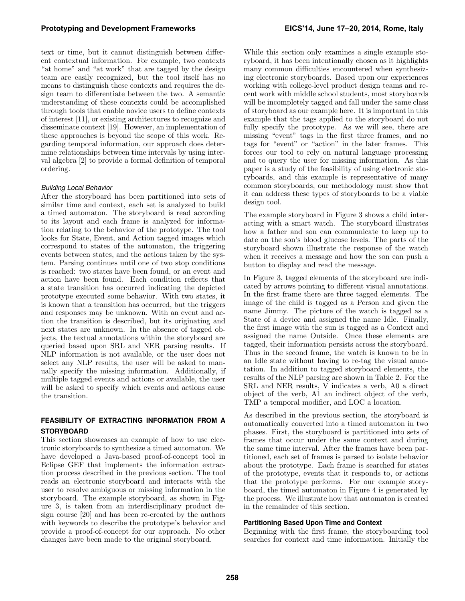#### **Prototyping and Development Frameworks EICS'14, June 17–20, 2014, Rome, Italy**

text or time, but it cannot distinguish between different contextual information. For example, two contexts "at home" and "at work" that are tagged by the design team are easily recognized, but the tool itself has no means to distinguish these contexts and requires the design team to differentiate between the two. A semantic understanding of these contexts could be accomplished through tools that enable novice users to define contexts of interest [\[11\]](#page-9-13), or existing architectures to recognize and disseminate context [\[19\]](#page-9-23). However, an implementation of these approaches is beyond the scope of this work. Regarding temporal information, our approach does determine relationships between time intervals by using interval algebra [\[2\]](#page-8-7) to provide a formal definition of temporal ordering.

# *Building Local Behavior*

After the storyboard has been partitioned into sets of similar time and context, each set is analyzed to build a timed automaton. The storyboard is read according to its layout and each frame is analyzed for information relating to the behavior of the prototype. The tool looks for State, Event, and Action tagged images which correspond to states of the automaton, the triggering events between states, and the actions taken by the system. Parsing continues until one of two stop conditions is reached: two states have been found, or an event and action have been found. Each condition reflects that a state transition has occurred indicating the depicted prototype executed some behavior. With two states, it is known that a transition has occurred, but the triggers and responses may be unknown. With an event and action the transition is described, but its originating and next states are unknown. In the absence of tagged objects, the textual annotations within the storyboard are queried based upon SRL and NER parsing results. If NLP information is not available, or the user does not select any NLP results, the user will be asked to manually specify the missing information. Additionally, if multiple tagged events and actions or available, the user will be asked to specify which events and actions cause the transition.

# **FEASIBILITY OF EXTRACTING INFORMATION FROM A STORYBOARD**

This section showcases an example of how to use electronic storyboards to synthesize a timed automaton. We have developed a Java-based proof-of-concept tool in Eclipse GEF that implements the information extraction process described in the previous section. The tool reads an electronic storyboard and interacts with the user to resolve ambiguous or missing information in the storyboard. The example storyboard, as shown in Figure [3,](#page-6-0) is taken from an interdisciplinary product design course [\[20\]](#page-9-24) and has been re-created by the authors with keywords to describe the prototype's behavior and provide a proof-of-concept for our approach. No other changes have been made to the original storyboard.

While this section only examines a single example storyboard, it has been intentionally chosen as it highlights many common difficulties encountered when synthesizing electronic storyboards. Based upon our experiences working with college-level product design teams and recent work with middle school students, most storyboards will be incompletely tagged and fall under the same class of storyboard as our example here. It is important in this example that the tags applied to the storyboard do not fully specify the prototype. As we will see, there are missing "event" tags in the first three frames, and no tags for "event" or "action" in the later frames. This forces our tool to rely on natural language processing and to query the user for missing information. As this paper is a study of the feasibility of using electronic storyboards, and this example is representative of many common storyboards, our methodology must show that it can address these types of storyboards to be a viable design tool.

The example storyboard in Figure [3](#page-6-0) shows a child interacting with a smart watch. The storyboard illustrates how a father and son can communicate to keep up to date on the son's blood glucose levels. The parts of the storyboard shown illustrate the response of the watch when it receives a message and how the son can push a button to display and read the message.

In Figure [3,](#page-6-0) tagged elements of the storyboard are indicated by arrows pointing to different visual annotations. In the first frame there are three tagged elements. The image of the child is tagged as a Person and given the name Jimmy. The picture of the watch is tagged as a State of a device and assigned the name Idle. Finally, the first image with the sun is tagged as a Context and assigned the name Outside. Once these elements are tagged, their information persists across the storyboard. Thus in the second frame, the watch is known to be in an Idle state without having to re-tag the visual annotation. In addition to tagged storyboard elements, the results of the NLP parsing are shown in Table [2.](#page-7-0) For the SRL and NER results, V indicates a verb, A0 a direct object of the verb, A1 an indirect object of the verb, TMP a temporal modifier, and LOC a location.

As described in the previous section, the storyboard is automatically converted into a timed automaton in two phases. First, the storyboard is partitioned into sets of frames that occur under the same context and during the same time interval. After the frames have been partitioned, each set of frames is parsed to isolate behavior about the prototype. Each frame is searched for states of the prototype, events that it responds to, or actions that the prototype performs. For our example storyboard, the timed automaton in Figure [4](#page-7-1) is generated by the process. We illustrate how that automaton is created in the remainder of this section.

#### **Partitioning Based Upon Time and Context**

Beginning with the first frame, the storyboarding tool searches for context and time information. Initially the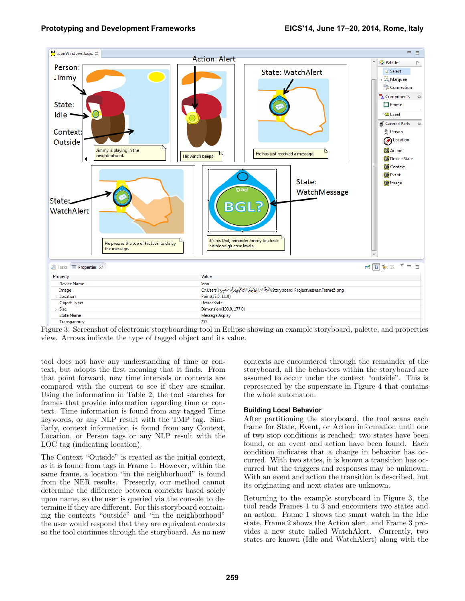<span id="page-6-0"></span>

Figure 3: Screenshot of electronic storyboarding tool in Eclipse showing an example storyboard, palette, and properties view. Arrows indicate the type of tagged object and its value.

tool does not have any understanding of time or context, but adopts the first meaning that it finds. From that point forward, new time intervals or contexts are compared with the current to see if they are similar. Using the information in Table [2,](#page-7-0) the tool searches for frames that provide information regarding time or context. Time information is found from any tagged Time keywords, or any NLP result with the TMP tag. Similarly, context information is found from any Context, Location, or Person tags or any NLP result with the LOC tag (indicating location).

The Context "Outside" is created as the initial context, as it is found from tags in Frame 1. However, within the same frame, a location "in the neighborhood" is found from the NER results. Presently, our method cannot determine the difference between contexts based solely upon name, so the user is queried via the console to determine if they are different. For this storyboard containing the contexts "outside" and "in the neighborhood" the user would respond that they are equivalent contexts so the tool continues through the storyboard. As no new contexts are encountered through the remainder of the storyboard, all the behaviors within the storyboard are assumed to occur under the context "outside". This is represented by the superstate in Figure [4](#page-7-1) that contains the whole automaton.

## **Building Local Behavior**

After partitioning the storyboard, the tool scans each frame for State, Event, or Action information until one of two stop conditions is reached: two states have been found, or an event and action have been found. Each condition indicates that a change in behavior has occurred. With two states, it is known a transition has occurred but the triggers and responses may be unknown. With an event and action the transition is described, but its originating and next states are unknown.

Returning to the example storyboard in Figure [3,](#page-6-0) the tool reads Frames 1 to 3 and encounters two states and an action. Frame 1 shows the smart watch in the Idle state, Frame 2 shows the Action alert, and Frame 3 provides a new state called WatchAlert. Currently, two states are known (Idle and WatchAlert) along with the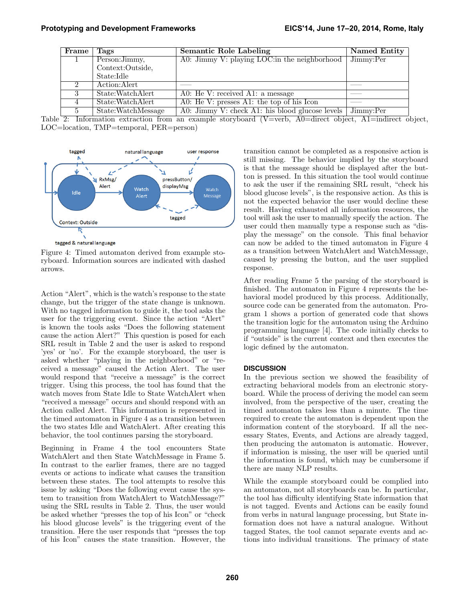<span id="page-7-0"></span>

| Frame | Tags               | <b>Semantic Role Labeling</b>                                 | Named Entity       |
|-------|--------------------|---------------------------------------------------------------|--------------------|
|       | Person: Jimmy,     | A0: Jimmy V: playing LOC: in the neighborhood                 | $J\text{immy:Per}$ |
|       | Context:Outside,   |                                                               |                    |
|       | State:Idle         |                                                               |                    |
|       | Action:Alert       |                                                               |                    |
| 3     | State:WatchAlert   | A0: He V: received A1: a message                              |                    |
|       | State:WatchAlert   | A0: He V: presses A1: the top of his Icon                     |                    |
|       | State:WatchMessage | $\overline{A0}$ : Jimmy V: check A1: his blood glucose levels | Jimmy:Per          |

Table 2: Information extraction from an example storyboard (V=verb, A0=direct object, A1=indirect object, LOC=location, TMP=temporal, PER=person)

<span id="page-7-1"></span>

tagged & natural language

Figure 4: Timed automaton derived from example storyboard. Information sources are indicated with dashed arrows.

Action "Alert", which is the watch's response to the state change, but the trigger of the state change is unknown. With no tagged information to guide it, the tool asks the user for the triggering event. Since the action "Alert" is known the tools asks "Does the following statement cause the action Alert?" This question is posed for each SRL result in Table [2](#page-7-0) and the user is asked to respond 'yes' or 'no'. For the example storyboard, the user is asked whether "playing in the neighborhood" or "received a message" caused the Action Alert. The user would respond that "receive a message" is the correct trigger. Using this process, the tool has found that the watch moves from State Idle to State WatchAlert when "received a message" occurs and should respond with an Action called Alert. This information is represented in the timed automaton in Figure [4](#page-7-1) as a transition between the two states Idle and WatchAlert. After creating this behavior, the tool continues parsing the storyboard.

Beginning in Frame 4 the tool encounters State WatchAlert and then State WatchMessage in Frame 5. In contrast to the earlier frames, there are no tagged events or actions to indicate what causes the transition between these states. The tool attempts to resolve this issue by asking "Does the following event cause the system to transition from WatchAlert to WatchMessage?" using the SRL results in Table [2.](#page-7-0) Thus, the user would be asked whether "presses the top of his Icon" or "check his blood glucose levels" is the triggering event of the transition. Here the user responds that "presses the top of his Icon" causes the state transition. However, the

transition cannot be completed as a responsive action is still missing. The behavior implied by the storyboard is that the message should be displayed after the button is pressed. In this situation the tool would continue to ask the user if the remaining SRL result, "check his blood glucose levels", is the responsive action. As this is not the expected behavior the user would decline these result. Having exhausted all information resources, the tool will ask the user to manually specify the action. The user could then manually type a response such as "display the message" on the console. This final behavior can now be added to the timed automaton in Figure [4](#page-7-1) as a transition between WatchAlert and WatchMessage, caused by pressing the button, and the user supplied response.

After reading Frame 5 the parsing of the storyboard is finished. The automaton in Figure [4](#page-7-1) represents the behavioral model produced by this process. Additionally, source code can be generated from the automaton. Program 1 shows a portion of generated code that shows the transition logic for the automaton using the Arduino programming language [\[4\]](#page-8-0). The code initially checks to if "outside" is the current context and then executes the logic defined by the automaton.

## **DISCUSSION**

In the previous section we showed the feasibility of extracting behavioral models from an electronic storyboard. While the process of deriving the model can seem involved, from the perspective of the user, creating the timed automaton takes less than a minute. The time required to create the automaton is dependent upon the information content of the storyboard. If all the necessary States, Events, and Actions are already tagged, then producing the automaton is automatic. However, if information is missing, the user will be queried until the information is found, which may be cumbersome if there are many NLP results.

While the example storyboard could be complied into an automaton, not all storyboards can be. In particular, the tool has difficulty identifying State information that is not tagged. Events and Actions can be easily found from verbs in natural language processing, but State information does not have a natural analogue. Without tagged States, the tool cannot separate events and actions into individual transitions. The primacy of state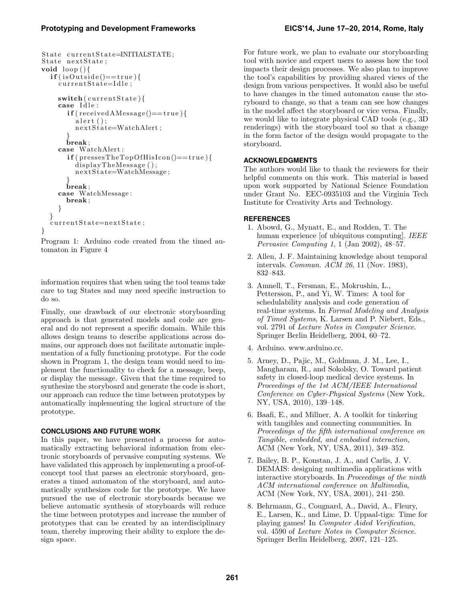```
State currentState=INITIALSTATE;
State nextState;
void loop()if (isOutside() == true){
     currentState=Idle;
    \textbf{switch}(\text{currentState})case Idle:
       if(receivedAMessage() == true){
          \text{a} \, \text{lert} ( );
          n ext State=WatchAlert;
       }
       break ;
    case WatchAlert :
       if ( presses The Top Of His Icon () = = true ) {
          displayTheMessage ();
          n e x t S t a t e=WatchMessage ;
       }
       break ;
     case WatchMessage :
       break ;
```

```
}
  }
  currentState=nextState;}
```
Program 1: Arduino code created from the timed automaton in Figure [4](#page-7-1)

information requires that when using the tool teams take care to tag States and may need specific instruction to do so.

Finally, one drawback of our electronic storyboarding approach is that generated models and code are general and do not represent a specific domain. While this allows design teams to describe applications across domains, our approach does not facilitate automatic implementation of a fully functioning prototype. For the code shown in Program 1, the design team would need to implement the functionality to check for a message, beep, or display the message. Given that the time required to synthesize the storyboard and generate the code is short, our approach can reduce the time between prototypes by automatically implementing the logical structure of the prototype.

## **CONCLUSIONS AND FUTURE WORK**

In this paper, we have presented a process for automatically extracting behavioral information from electronic storyboards of pervasive computing systems. We have validated this approach by implementing a proof-ofconcept tool that parses an electronic storyboard, generates a timed automaton of the storyboard, and automatically synthesizes code for the prototype. We have pursued the use of electronic storyboards because we believe automatic synthesis of storyboards will reduce the time between prototypes and increase the number of prototypes that can be created by an interdisciplinary team, thereby improving their ability to explore the design space.

For future work, we plan to evaluate our storyboarding tool with novice and expert users to assess how the tool impacts their design processes. We also plan to improve the tool's capabilities by providing shared views of the design from various perspectives. It would also be useful to have changes in the timed automaton cause the storyboard to change, so that a team can see how changes in the model affect the storyboard or vice versa. Finally, we would like to integrate physical CAD tools (e.g., 3D renderings) with the storyboard tool so that a change in the form factor of the design would propagate to the storyboard.

## **ACKNOWLEDGMENTS**

The authors would like to thank the reviewers for their helpful comments on this work. This material is based upon work supported by National Science Foundation under Grant No. EEC-0935103 and the Virginia Tech Institute for Creativity Arts and Technology.

## <span id="page-8-3"></span>**REFERENCES**

- 1. Abowd, G., Mynatt, E., and Rodden, T. The human experience [of ubiquitous computing]. *IEEE* Pervasive Computing 1, 1 (Jan 2002), 48–57.
- <span id="page-8-7"></span>2. Allen, J. F. Maintaining knowledge about temporal intervals. Commun. ACM 26, 11 (Nov. 1983), 832–843.
- <span id="page-8-1"></span>3. Amnell, T., Fersman, E., Mokrushin, L., Pettersson, P., and Yi, W. Times: A tool for schedulability analysis and code generation of real-time systems. In Formal Modeling and Analysis of Timed Systems, K. Larsen and P. Niebert, Eds., vol. 2791 of Lecture Notes in Computer Science. Springer Berlin Heidelberg, 2004, 60–72.
- <span id="page-8-0"></span>4. Arduino. www.arduino.cc.
- <span id="page-8-6"></span>5. Arney, D., Pajic, M., Goldman, J. M., Lee, I., Mangharam, R., and Sokolsky, O. Toward patient safety in closed-loop medical device systems. In Proceedings of the 1st ACM/IEEE International Conference on Cyber-Physical Systems (New York, NY, USA, 2010), 139–148.
- <span id="page-8-4"></span>6. Baafi, E., and Millner, A. A toolkit for tinkering with tangibles and connecting communities. In Proceedings of the fifth international conference on Tangible, embedded, and embodied interaction, ACM (New York, NY, USA, 2011), 349–352.
- <span id="page-8-5"></span>7. Bailey, B. P., Konstan, J. A., and Carlis, J. V. DEMAIS: designing multimedia applications with interactive storyboards. In Proceedings of the ninth ACM international conference on Multimedia, ACM (New York, NY, USA, 2001), 241–250.
- <span id="page-8-2"></span>8. Behrmann, G., Cougnard, A., David, A., Fleury, E., Larsen, K., and Lime, D. Uppaal-tiga: Time for playing games! In Computer Aided Verification, vol. 4590 of Lecture Notes in Computer Science. Springer Berlin Heidelberg, 2007, 121–125.